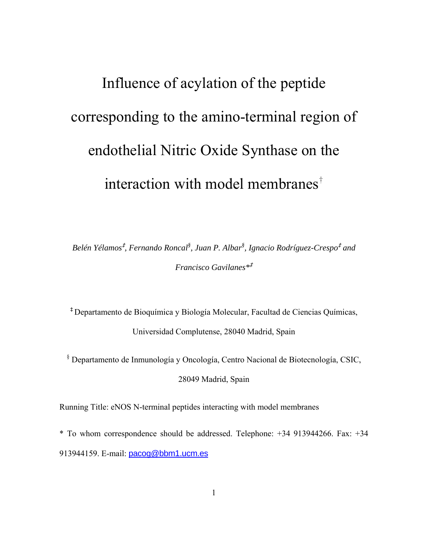# Influence of acylation of the peptide corresponding to the amino-terminal region of endothelial Nitric Oxide Synthase on the interaction with model membranes†

 $Belén Yélamos<sup>‡</sup>, Fernando Roncal<sup>§</sup>, Juan P. Albar<sup>§</sup>, Ignacio Rodríguez-Crespo<sup>‡</sup> and$ *Francisco Gavilanes\**<sup>I</sup>

<sup>I</sup> Departamento de Bioquímica y Biología Molecular, Facultad de Ciencias Químicas, Universidad Complutense, 28040 Madrid, Spain

§ Departamento de Inmunología y Oncología, Centro Nacional de Biotecnología, CSIC, 28049 Madrid, Spain

Running Title: eNOS N-terminal peptides interacting with model membranes

\* To whom correspondence should be addressed. Telephone: +34 913944266. Fax: +34 913944159. E-mail: [pacog@bbm1.ucm.es](mailto:pacog@bbm1.ucm.es)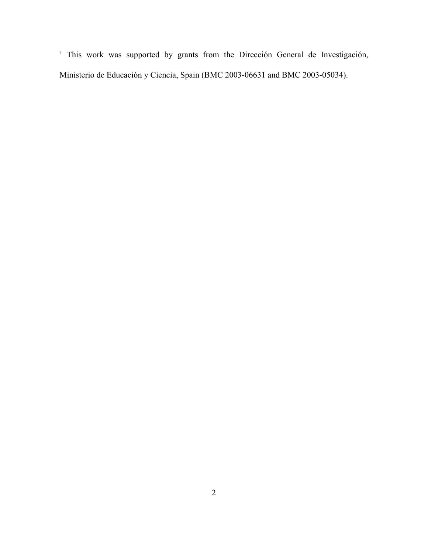† This work was supported by grants from the Dirección General de Investigación, Ministerio de Educación y Ciencia, Spain (BMC 2003-06631 and BMC 2003-05034).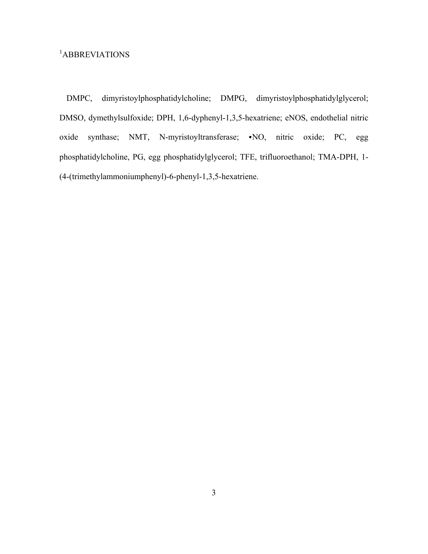# 1 ABBREVIATIONS

DMPC, dimyristoylphosphatidylcholine; DMPG, dimyristoylphosphatidylglycerol; DMSO, dymethylsulfoxide; DPH, 1,6-dyphenyl-1,3,5-hexatriene; eNOS, endothelial nitric oxide synthase; NMT, N-myristoyltransferase;  $\bullet$ NO, nitric oxide; PC, egg phosphatidylcholine, PG, egg phosphatidylglycerol; TFE, trifluoroethanol; TMA-DPH, 1- (4-(trimethylammoniumphenyl)-6-phenyl-1,3,5-hexatriene.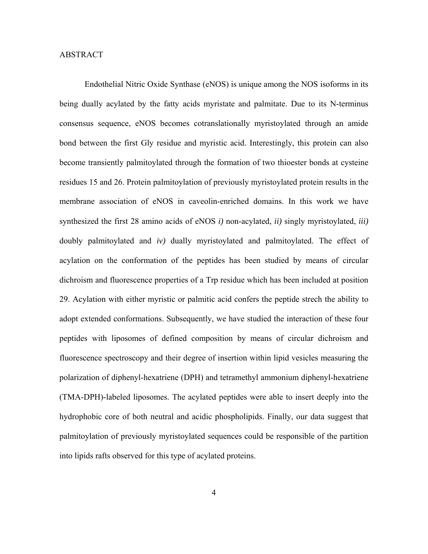## ABSTRACT

 Endothelial Nitric Oxide Synthase (eNOS) is unique among the NOS isoforms in its being dually acylated by the fatty acids myristate and palmitate. Due to its N-terminus consensus sequence, eNOS becomes cotranslationally myristoylated through an amide bond between the first Gly residue and myristic acid. Interestingly, this protein can also become transiently palmitoylated through the formation of two thioester bonds at cysteine residues 15 and 26. Protein palmitoylation of previously myristoylated protein results in the membrane association of eNOS in caveolin-enriched domains. In this work we have synthesized the first 28 amino acids of eNOS *i)* non-acylated, *ii)* singly myristoylated, *iii)* doubly palmitoylated and *iv)* dually myristoylated and palmitoylated. The effect of acylation on the conformation of the peptides has been studied by means of circular dichroism and fluorescence properties of a Trp residue which has been included at position 29. Acylation with either myristic or palmitic acid confers the peptide strech the ability to adopt extended conformations. Subsequently, we have studied the interaction of these four peptides with liposomes of defined composition by means of circular dichroism and fluorescence spectroscopy and their degree of insertion within lipid vesicles measuring the polarization of diphenyl-hexatriene (DPH) and tetramethyl ammonium diphenyl-hexatriene (TMA-DPH)-labeled liposomes. The acylated peptides were able to insert deeply into the hydrophobic core of both neutral and acidic phospholipids. Finally, our data suggest that palmitoylation of previously myristoylated sequences could be responsible of the partition into lipids rafts observed for this type of acylated proteins.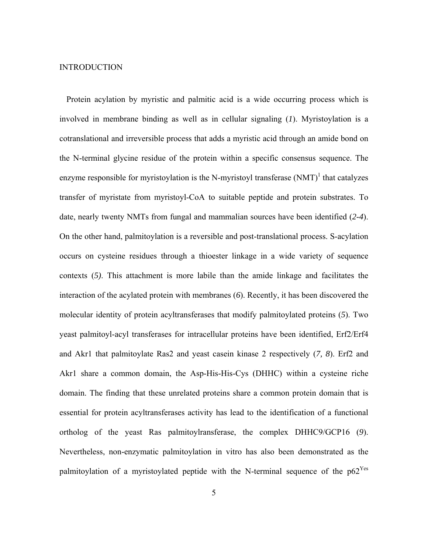#### INTRODUCTION

Protein acylation by myristic and palmitic acid is a wide occurring process which is involved in membrane binding as well as in cellular signaling (*1*). Myristoylation is a cotranslational and irreversible process that adds a myristic acid through an amide bond on the N-terminal glycine residue of the protein within a specific consensus sequence. The enzyme responsible for myristoylation is the N-myristoyl transferase  $(NMT)^{1}$  that catalyzes transfer of myristate from myristoyl-CoA to suitable peptide and protein substrates. To date, nearly twenty NMTs from fungal and mammalian sources have been identified (*2-4*). On the other hand, palmitoylation is a reversible and post-translational process. S-acylation occurs on cysteine residues through a thioester linkage in a wide variety of sequence contexts (*5)*. This attachment is more labile than the amide linkage and facilitates the interaction of the acylated protein with membranes (*6*). Recently, it has been discovered the molecular identity of protein acyltransferases that modify palmitoylated proteins (*5*). Two yeast palmitoyl-acyl transferases for intracellular proteins have been identified, Erf2/Erf4 and Akr1 that palmitoylate Ras2 and yeast casein kinase 2 respectively (*7, 8*). Erf2 and Akr1 share a common domain, the Asp-His-His-Cys (DHHC) within a cysteine riche domain. The finding that these unrelated proteins share a common protein domain that is essential for protein acyltransferases activity has lead to the identification of a functional ortholog of the yeast Ras palmitoylransferase, the complex DHHC9/GCP16 (*9*). Nevertheless, non-enzymatic palmitoylation in vitro has also been demonstrated as the palmitoylation of a myristoylated peptide with the N-terminal sequence of the  $p62<sup>Yes</sup>$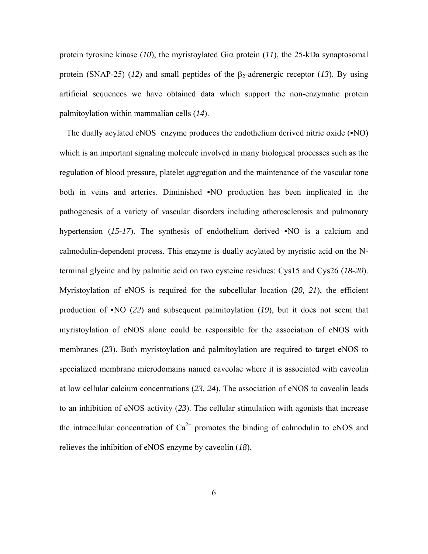protein tyrosine kinase (*10*), the myristoylated Giα protein (*11*), the 25-kDa synaptosomal protein (SNAP-25) ( $12$ ) and small peptides of the  $\beta_2$ -adrenergic receptor ( $13$ ). By using artificial sequences we have obtained data which support the non-enzymatic protein palmitoylation within mammalian cells (*14*).

The dually acylated eNOS enzyme produces the endothelium derived nitric oxide  $(\cdot NO)$ which is an important signaling molecule involved in many biological processes such as the regulation of blood pressure, platelet aggregation and the maintenance of the vascular tone both in veins and arteries. Diminished  $\cdot$ NO production has been implicated in the pathogenesis of a variety of vascular disorders including atherosclerosis and pulmonary hypertension  $(15-17)$ . The synthesis of endothelium derived  $\cdot$ NO is a calcium and calmodulin-dependent process. This enzyme is dually acylated by myristic acid on the Nterminal glycine and by palmitic acid on two cysteine residues: Cys15 and Cys26 (*18-20*). Myristoylation of eNOS is required for the subcellular location (*20, 21*), the efficient production of  $\cdot$ NO (22) and subsequent palmitoylation (19), but it does not seem that myristoylation of eNOS alone could be responsible for the association of eNOS with membranes (*23*). Both myristoylation and palmitoylation are required to target eNOS to specialized membrane microdomains named caveolae where it is associated with caveolin at low cellular calcium concentrations (*23, 24*). The association of eNOS to caveolin leads to an inhibition of eNOS activity (*23*). The cellular stimulation with agonists that increase the intracellular concentration of  $Ca^{2+}$  promotes the binding of calmodulin to eNOS and relieves the inhibition of eNOS enzyme by caveolin (*18*).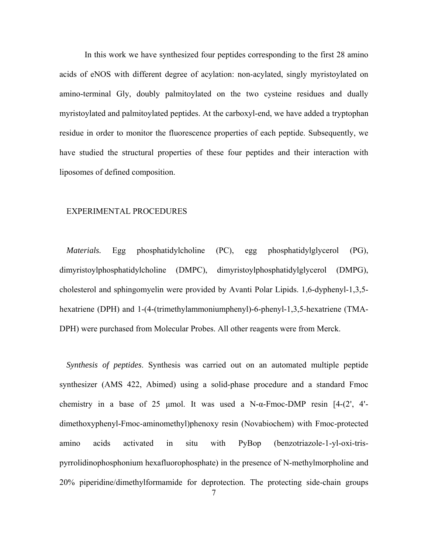In this work we have synthesized four peptides corresponding to the first 28 amino acids of eNOS with different degree of acylation: non-acylated, singly myristoylated on amino-terminal Gly, doubly palmitoylated on the two cysteine residues and dually myristoylated and palmitoylated peptides. At the carboxyl-end, we have added a tryptophan residue in order to monitor the fluorescence properties of each peptide. Subsequently, we have studied the structural properties of these four peptides and their interaction with liposomes of defined composition.

#### EXPERIMENTAL PROCEDURES

*Materials.* Egg phosphatidylcholine (PC), egg phosphatidylglycerol (PG), dimyristoylphosphatidylcholine (DMPC), dimyristoylphosphatidylglycerol (DMPG), cholesterol and sphingomyelin were provided by Avanti Polar Lipids. 1,6-dyphenyl-1,3,5 hexatriene (DPH) and 1-(4-(trimethylammoniumphenyl)-6-phenyl-1,3,5-hexatriene (TMA-DPH) were purchased from Molecular Probes. All other reagents were from Merck.

*Synthesis of peptides*. Synthesis was carried out on an automated multiple peptide synthesizer (AMS 422, Abimed) using a solid-phase procedure and a standard Fmoc chemistry in a base of 25 µmol. It was used a N- $\alpha$ -Fmoc-DMP resin [4-(2', 4'dimethoxyphenyl-Fmoc-aminomethyl)phenoxy resin (Novabiochem) with Fmoc-protected amino acids activated in situ with PyBop (benzotriazole-1-yl-oxi-trispyrrolidinophosphonium hexafluorophosphate) in the presence of N-methylmorpholine and 20% piperidine/dimethylformamide for deprotection. The protecting side-chain groups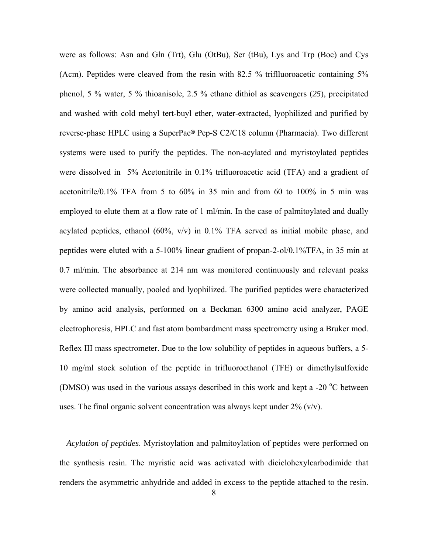were as follows: Asn and Gln (Trt), Glu (OtBu), Ser (tBu), Lys and Trp (Boc) and Cys (Acm). Peptides were cleaved from the resin with 82.5 % triflluoroacetic containing 5% phenol, 5 % water, 5 % thioanisole, 2.5 % ethane dithiol as scavengers (*25*), precipitated and washed with cold mehyl tert-buyl ether, water-extracted, lyophilized and purified by reverse-phase HPLC using a SuperPac® Pep-S C2/C18 column (Pharmacia). Two different systems were used to purify the peptides. The non-acylated and myristoylated peptides were dissolved in 5% Acetonitrile in 0.1% trifluoroacetic acid (TFA) and a gradient of acetonitrile/0.1% TFA from 5 to 60% in 35 min and from 60 to 100% in 5 min was employed to elute them at a flow rate of 1 ml/min. In the case of palmitoylated and dually acylated peptides, ethanol (60%, v/v) in 0.1% TFA served as initial mobile phase, and peptides were eluted with a 5-100% linear gradient of propan-2-ol/0.1%TFA, in 35 min at 0.7 ml/min. The absorbance at 214 nm was monitored continuously and relevant peaks were collected manually, pooled and lyophilized. The purified peptides were characterized by amino acid analysis, performed on a Beckman 6300 amino acid analyzer, PAGE electrophoresis, HPLC and fast atom bombardment mass spectrometry using a Bruker mod. Reflex III mass spectrometer. Due to the low solubility of peptides in aqueous buffers, a 5- 10 mg/ml stock solution of the peptide in trifluoroethanol (TFE) or dimethylsulfoxide (DMSO) was used in the various assays described in this work and kept a -20 $\degree$ C between uses. The final organic solvent concentration was always kept under  $2\%$  (v/v).

*Acylation of peptides*. Myristoylation and palmitoylation of peptides were performed on the synthesis resin. The myristic acid was activated with diciclohexylcarbodimide that renders the asymmetric anhydride and added in excess to the peptide attached to the resin.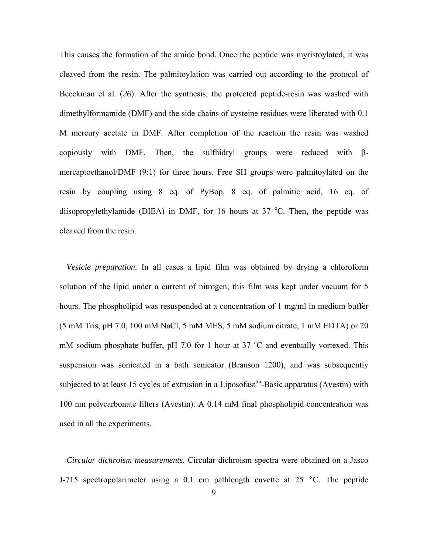This causes the formation of the amide bond. Once the peptide was myristoylated, it was cleaved from the resin. The palmitoylation was carried out according to the protocol of Beeckman et al. (*26*). After the synthesis, the protected peptide-resin was washed with dimethylformamide (DMF) and the side chains of cysteine residues were liberated with 0.1 M mercury acetate in DMF. After completion of the reaction the resin was washed copiously with DMF. Then, the sulfhidryl groups were reduced with βmercaptoethanol/DMF (9:1) for three hours. Free SH groups were palmitoylated on the resin by coupling using 8 eq. of PyBop, 8 eq. of palmitic acid, 16 eq. of diisopropylethylamide (DIEA) in DMF, for 16 hours at 37  $^{\circ}$ C. Then, the peptide was cleaved from the resin.

*Vesicle preparation.* In all cases a lipid film was obtained by drying a chloroform solution of the lipid under a current of nitrogen; this film was kept under vacuum for 5 hours. The phospholipid was resuspended at a concentration of 1 mg/ml in medium buffer (5 mM Tris, pH 7.0, 100 mM NaCl, 5 mM MES, 5 mM sodium citrate, 1 mM EDTA) or 20 mM sodium phosphate buffer, pH 7.0 for 1 hour at 37  $^{\circ}$ C and eventually vortexed. This suspension was sonicated in a bath sonicator (Branson 1200), and was subsequently subjected to at least 15 cycles of extrusion in a Liposofast<sup>tm</sup>-Basic apparatus (Avestin) with 100 nm polycarbonate filters (Avestin). A 0.14 mM final phospholipid concentration was used in all the experiments.

*Circular dichroism measurements*. Circular dichroism spectra were obtained on a Jasco J-715 spectropolarimeter using a 0.1 cm pathlength cuvette at 25  $\degree$ C. The peptide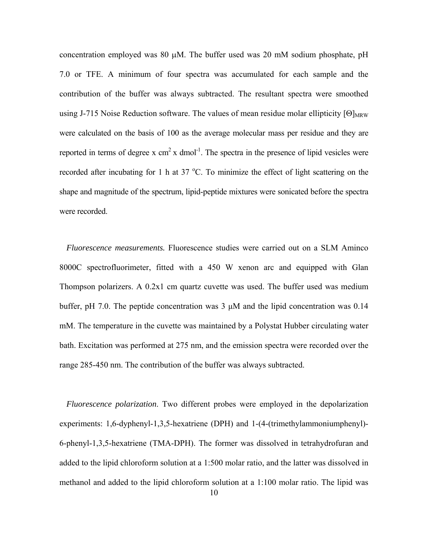concentration employed was 80 µM. The buffer used was 20 mM sodium phosphate, pH 7.0 or TFE. A minimum of four spectra was accumulated for each sample and the contribution of the buffer was always subtracted. The resultant spectra were smoothed using J-715 Noise Reduction software. The values of mean residue molar ellipticity  $[Θ]_{MRW}$ were calculated on the basis of 100 as the average molecular mass per residue and they are reported in terms of degree x  $cm<sup>2</sup>$  x dmol<sup>-1</sup>. The spectra in the presence of lipid vesicles were recorded after incubating for 1 h at 37 °C. To minimize the effect of light scattering on the shape and magnitude of the spectrum, lipid-peptide mixtures were sonicated before the spectra were recorded.

*Fluorescence measurements.* Fluorescence studies were carried out on a SLM Aminco 8000C spectrofluorimeter, fitted with a 450 W xenon arc and equipped with Glan Thompson polarizers. A 0.2x1 cm quartz cuvette was used. The buffer used was medium buffer, pH 7.0. The peptide concentration was 3 µM and the lipid concentration was 0.14 mM. The temperature in the cuvette was maintained by a Polystat Hubber circulating water bath. Excitation was performed at 275 nm, and the emission spectra were recorded over the range 285-450 nm. The contribution of the buffer was always subtracted.

*Fluorescence polarization*. Two different probes were employed in the depolarization experiments: 1,6-dyphenyl-1,3,5-hexatriene (DPH) and 1-(4-(trimethylammoniumphenyl)- 6-phenyl-1,3,5-hexatriene (TMA-DPH). The former was dissolved in tetrahydrofuran and added to the lipid chloroform solution at a 1:500 molar ratio, and the latter was dissolved in methanol and added to the lipid chloroform solution at a 1:100 molar ratio. The lipid was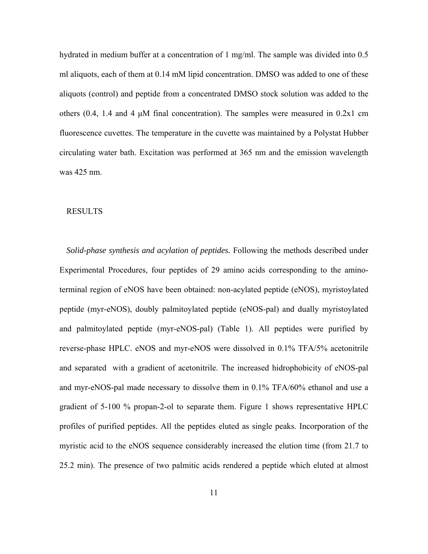hydrated in medium buffer at a concentration of 1 mg/ml. The sample was divided into 0.5 ml aliquots, each of them at 0.14 mM lipid concentration. DMSO was added to one of these aliquots (control) and peptide from a concentrated DMSO stock solution was added to the others  $(0.4, 1.4 \text{ and } 4 \mu\text{M}$  final concentration). The samples were measured in  $0.2x1$  cm fluorescence cuvettes. The temperature in the cuvette was maintained by a Polystat Hubber circulating water bath. Excitation was performed at 365 nm and the emission wavelength was 425 nm.

#### RESULTS

*Solid-phase synthesis and acylation of peptides.* Following the methods described under Experimental Procedures, four peptides of 29 amino acids corresponding to the aminoterminal region of eNOS have been obtained: non-acylated peptide (eNOS), myristoylated peptide (myr-eNOS), doubly palmitoylated peptide (eNOS-pal) and dually myristoylated and palmitoylated peptide (myr-eNOS-pal) (Table 1). All peptides were purified by reverse-phase HPLC. eNOS and myr-eNOS were dissolved in 0.1% TFA/5% acetonitrile and separated with a gradient of acetonitrile. The increased hidrophobicity of eNOS-pal and myr-eNOS-pal made necessary to dissolve them in 0.1% TFA/60% ethanol and use a gradient of 5-100 % propan-2-ol to separate them. Figure 1 shows representative HPLC profiles of purified peptides. All the peptides eluted as single peaks. Incorporation of the myristic acid to the eNOS sequence considerably increased the elution time (from 21.7 to 25.2 min). The presence of two palmitic acids rendered a peptide which eluted at almost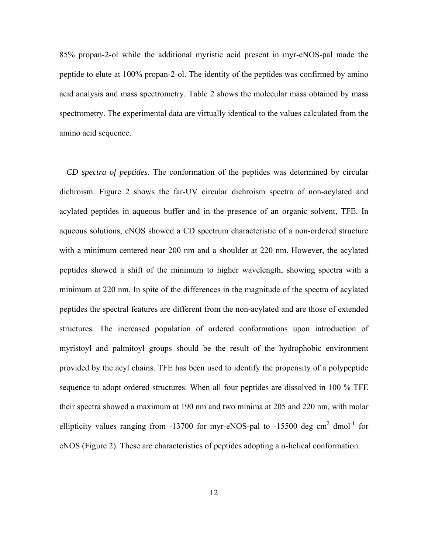85% propan-2-ol while the additional myristic acid present in myr-eNOS-pal made the peptide to elute at 100% propan-2-ol. The identity of the peptides was confirmed by amino acid analysis and mass spectrometry. Table 2 shows the molecular mass obtained by mass spectrometry. The experimental data are virtually identical to the values calculated from the amino acid sequence.

*CD spectra of peptides*. The conformation of the peptides was determined by circular dichroism. Figure 2 shows the far-UV circular dichroism spectra of non-acylated and acylated peptides in aqueous buffer and in the presence of an organic solvent, TFE. In aqueous solutions, eNOS showed a CD spectrum characteristic of a non-ordered structure with a minimum centered near 200 nm and a shoulder at 220 nm. However, the acylated peptides showed a shift of the minimum to higher wavelength, showing spectra with a minimum at 220 nm. In spite of the differences in the magnitude of the spectra of acylated peptides the spectral features are different from the non-acylated and are those of extended structures. The increased population of ordered conformations upon introduction of myristoyl and palmitoyl groups should be the result of the hydrophobic environment provided by the acyl chains. TFE has been used to identify the propensity of a polypeptide sequence to adopt ordered structures. When all four peptides are dissolved in 100 % TFE their spectra showed a maximum at 190 nm and two minima at 205 and 220 nm, with molar ellipticity values ranging from  $-13700$  for myr-eNOS-pal to  $-15500$  deg cm<sup>2</sup> dmol<sup>-1</sup> for eNOS (Figure 2). These are characteristics of peptides adopting a  $\alpha$ -helical conformation.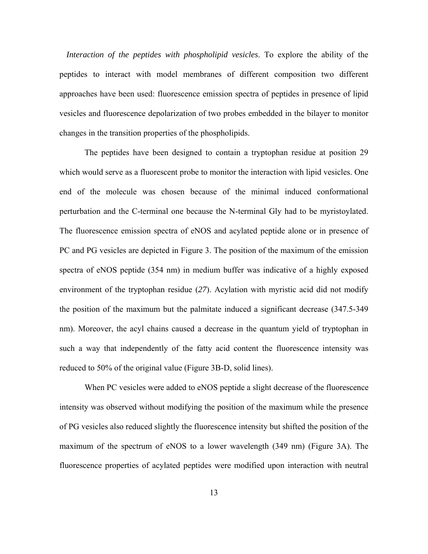*Interaction of the peptides with phospholipid vesicles*. To explore the ability of the peptides to interact with model membranes of different composition two different approaches have been used: fluorescence emission spectra of peptides in presence of lipid vesicles and fluorescence depolarization of two probes embedded in the bilayer to monitor changes in the transition properties of the phospholipids.

 The peptides have been designed to contain a tryptophan residue at position 29 which would serve as a fluorescent probe to monitor the interaction with lipid vesicles. One end of the molecule was chosen because of the minimal induced conformational perturbation and the C-terminal one because the N-terminal Gly had to be myristoylated. The fluorescence emission spectra of eNOS and acylated peptide alone or in presence of PC and PG vesicles are depicted in Figure 3. The position of the maximum of the emission spectra of eNOS peptide (354 nm) in medium buffer was indicative of a highly exposed environment of the tryptophan residue (*27*). Acylation with myristic acid did not modify the position of the maximum but the palmitate induced a significant decrease (347.5-349 nm). Moreover, the acyl chains caused a decrease in the quantum yield of tryptophan in such a way that independently of the fatty acid content the fluorescence intensity was reduced to 50% of the original value (Figure 3B-D, solid lines).

 When PC vesicles were added to eNOS peptide a slight decrease of the fluorescence intensity was observed without modifying the position of the maximum while the presence of PG vesicles also reduced slightly the fluorescence intensity but shifted the position of the maximum of the spectrum of eNOS to a lower wavelength (349 nm) (Figure 3A). The fluorescence properties of acylated peptides were modified upon interaction with neutral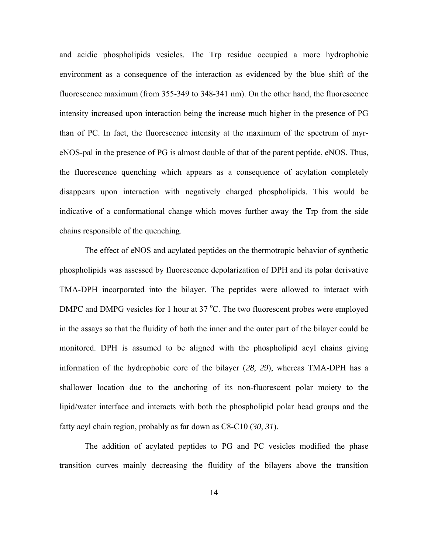and acidic phospholipids vesicles. The Trp residue occupied a more hydrophobic environment as a consequence of the interaction as evidenced by the blue shift of the fluorescence maximum (from 355-349 to 348-341 nm). On the other hand, the fluorescence intensity increased upon interaction being the increase much higher in the presence of PG than of PC. In fact, the fluorescence intensity at the maximum of the spectrum of myreNOS-pal in the presence of PG is almost double of that of the parent peptide, eNOS. Thus, the fluorescence quenching which appears as a consequence of acylation completely disappears upon interaction with negatively charged phospholipids. This would be indicative of a conformational change which moves further away the Trp from the side chains responsible of the quenching.

 The effect of eNOS and acylated peptides on the thermotropic behavior of synthetic phospholipids was assessed by fluorescence depolarization of DPH and its polar derivative TMA-DPH incorporated into the bilayer. The peptides were allowed to interact with DMPC and DMPG vesicles for 1 hour at 37 °C. The two fluorescent probes were employed in the assays so that the fluidity of both the inner and the outer part of the bilayer could be monitored. DPH is assumed to be aligned with the phospholipid acyl chains giving information of the hydrophobic core of the bilayer (*28, 29*), whereas TMA-DPH has a shallower location due to the anchoring of its non-fluorescent polar moiety to the lipid/water interface and interacts with both the phospholipid polar head groups and the fatty acyl chain region, probably as far down as C8-C10 (*30, 31*).

 The addition of acylated peptides to PG and PC vesicles modified the phase transition curves mainly decreasing the fluidity of the bilayers above the transition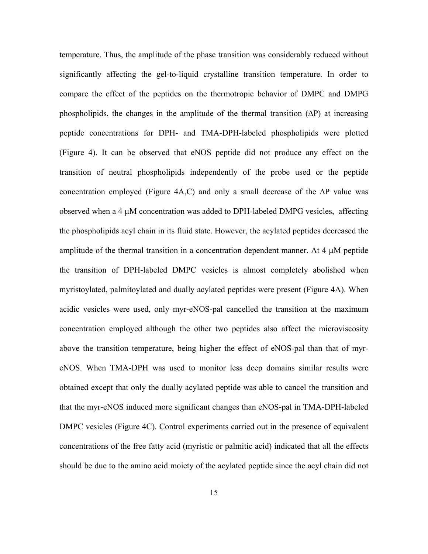temperature. Thus, the amplitude of the phase transition was considerably reduced without significantly affecting the gel-to-liquid crystalline transition temperature. In order to compare the effect of the peptides on the thermotropic behavior of DMPC and DMPG phospholipids, the changes in the amplitude of the thermal transition  $(\Delta P)$  at increasing peptide concentrations for DPH- and TMA-DPH-labeled phospholipids were plotted (Figure 4). It can be observed that eNOS peptide did not produce any effect on the transition of neutral phospholipids independently of the probe used or the peptide concentration employed (Figure 4A,C) and only a small decrease of the ∆P value was observed when a 4 µM concentration was added to DPH-labeled DMPG vesicles, affecting the phospholipids acyl chain in its fluid state. However, the acylated peptides decreased the amplitude of the thermal transition in a concentration dependent manner. At 4 µM peptide the transition of DPH-labeled DMPC vesicles is almost completely abolished when myristoylated, palmitoylated and dually acylated peptides were present (Figure 4A). When acidic vesicles were used, only myr-eNOS-pal cancelled the transition at the maximum concentration employed although the other two peptides also affect the microviscosity above the transition temperature, being higher the effect of eNOS-pal than that of myreNOS. When TMA-DPH was used to monitor less deep domains similar results were obtained except that only the dually acylated peptide was able to cancel the transition and that the myr-eNOS induced more significant changes than eNOS-pal in TMA-DPH-labeled DMPC vesicles (Figure 4C). Control experiments carried out in the presence of equivalent concentrations of the free fatty acid (myristic or palmitic acid) indicated that all the effects should be due to the amino acid moiety of the acylated peptide since the acyl chain did not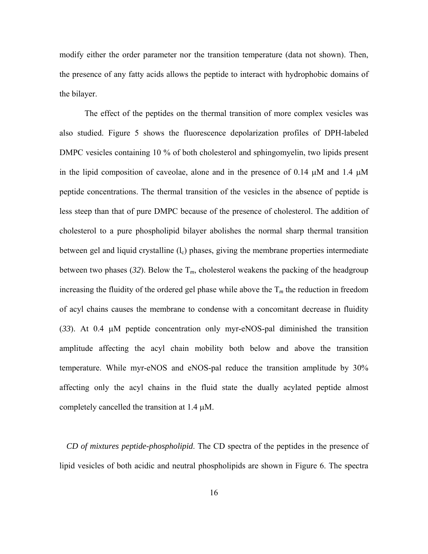modify either the order parameter nor the transition temperature (data not shown). Then, the presence of any fatty acids allows the peptide to interact with hydrophobic domains of the bilayer.

 The effect of the peptides on the thermal transition of more complex vesicles was also studied. Figure 5 shows the fluorescence depolarization profiles of DPH-labeled DMPC vesicles containing 10 % of both cholesterol and sphingomyelin, two lipids present in the lipid composition of caveolae, alone and in the presence of 0.14  $\mu$ M and 1.4  $\mu$ M peptide concentrations. The thermal transition of the vesicles in the absence of peptide is less steep than that of pure DMPC because of the presence of cholesterol. The addition of cholesterol to a pure phospholipid bilayer abolishes the normal sharp thermal transition between gel and liquid crystalline  $(l_c)$  phases, giving the membrane properties intermediate between two phases (32). Below the  $T_m$ , cholesterol weakens the packing of the headgroup increasing the fluidity of the ordered gel phase while above the  $T_m$  the reduction in freedom of acyl chains causes the membrane to condense with a concomitant decrease in fluidity (*33*). At 0.4 µM peptide concentration only myr-eNOS-pal diminished the transition amplitude affecting the acyl chain mobility both below and above the transition temperature. While myr-eNOS and eNOS-pal reduce the transition amplitude by 30% affecting only the acyl chains in the fluid state the dually acylated peptide almost completely cancelled the transition at 1.4 µM.

*CD of mixtures peptide-phospholipid*. The CD spectra of the peptides in the presence of lipid vesicles of both acidic and neutral phospholipids are shown in Figure 6. The spectra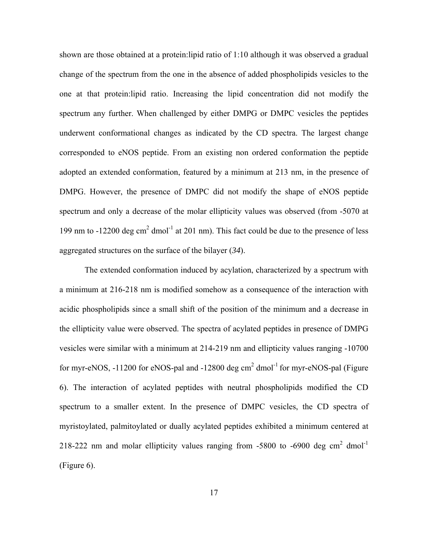shown are those obtained at a protein:lipid ratio of 1:10 although it was observed a gradual change of the spectrum from the one in the absence of added phospholipids vesicles to the one at that protein:lipid ratio. Increasing the lipid concentration did not modify the spectrum any further. When challenged by either DMPG or DMPC vesicles the peptides underwent conformational changes as indicated by the CD spectra. The largest change corresponded to eNOS peptide. From an existing non ordered conformation the peptide adopted an extended conformation, featured by a minimum at 213 nm, in the presence of DMPG. However, the presence of DMPC did not modify the shape of eNOS peptide spectrum and only a decrease of the molar ellipticity values was observed (from -5070 at 199 nm to  $-12200$  deg cm<sup>2</sup> dmol<sup>-1</sup> at 201 nm). This fact could be due to the presence of less aggregated structures on the surface of the bilayer (*34*).

 The extended conformation induced by acylation, characterized by a spectrum with a minimum at 216-218 nm is modified somehow as a consequence of the interaction with acidic phospholipids since a small shift of the position of the minimum and a decrease in the ellipticity value were observed. The spectra of acylated peptides in presence of DMPG vesicles were similar with a minimum at 214-219 nm and ellipticity values ranging -10700 for myr-eNOS,  $-11200$  for eNOS-pal and  $-12800$  deg cm<sup>2</sup> dmol<sup>-1</sup> for myr-eNOS-pal (Figure 6). The interaction of acylated peptides with neutral phospholipids modified the CD spectrum to a smaller extent. In the presence of DMPC vesicles, the CD spectra of myristoylated, palmitoylated or dually acylated peptides exhibited a minimum centered at 218-222 nm and molar ellipticity values ranging from -5800 to -6900 deg  $cm<sup>2</sup>$  dmol<sup>-1</sup> (Figure 6).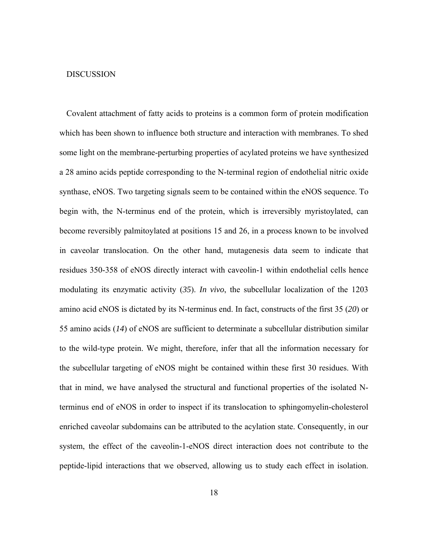#### DISCUSSION

Covalent attachment of fatty acids to proteins is a common form of protein modification which has been shown to influence both structure and interaction with membranes. To shed some light on the membrane-perturbing properties of acylated proteins we have synthesized a 28 amino acids peptide corresponding to the N-terminal region of endothelial nitric oxide synthase, eNOS. Two targeting signals seem to be contained within the eNOS sequence. To begin with, the N-terminus end of the protein, which is irreversibly myristoylated, can become reversibly palmitoylated at positions 15 and 26, in a process known to be involved in caveolar translocation. On the other hand, mutagenesis data seem to indicate that residues 350-358 of eNOS directly interact with caveolin-1 within endothelial cells hence modulating its enzymatic activity (*35*). *In vivo*, the subcellular localization of the 1203 amino acid eNOS is dictated by its N-terminus end. In fact, constructs of the first 35 (*20*) or 55 amino acids (*14*) of eNOS are sufficient to determinate a subcellular distribution similar to the wild-type protein. We might, therefore, infer that all the information necessary for the subcellular targeting of eNOS might be contained within these first 30 residues. With that in mind, we have analysed the structural and functional properties of the isolated Nterminus end of eNOS in order to inspect if its translocation to sphingomyelin-cholesterol enriched caveolar subdomains can be attributed to the acylation state. Consequently, in our system, the effect of the caveolin-1-eNOS direct interaction does not contribute to the peptide-lipid interactions that we observed, allowing us to study each effect in isolation.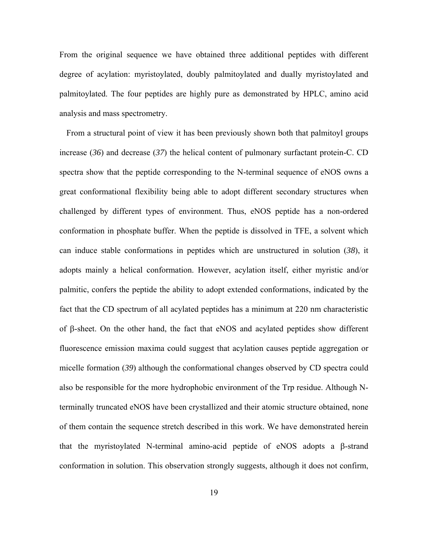From the original sequence we have obtained three additional peptides with different degree of acylation: myristoylated, doubly palmitoylated and dually myristoylated and palmitoylated. The four peptides are highly pure as demonstrated by HPLC, amino acid analysis and mass spectrometry.

From a structural point of view it has been previously shown both that palmitoyl groups increase (*36*) and decrease (*37*) the helical content of pulmonary surfactant protein-C. CD spectra show that the peptide corresponding to the N-terminal sequence of eNOS owns a great conformational flexibility being able to adopt different secondary structures when challenged by different types of environment. Thus, eNOS peptide has a non-ordered conformation in phosphate buffer. When the peptide is dissolved in TFE, a solvent which can induce stable conformations in peptides which are unstructured in solution (*38*), it adopts mainly a helical conformation. However, acylation itself, either myristic and/or palmitic, confers the peptide the ability to adopt extended conformations, indicated by the fact that the CD spectrum of all acylated peptides has a minimum at 220 nm characteristic of β-sheet. On the other hand, the fact that eNOS and acylated peptides show different fluorescence emission maxima could suggest that acylation causes peptide aggregation or micelle formation (*39*) although the conformational changes observed by CD spectra could also be responsible for the more hydrophobic environment of the Trp residue. Although Nterminally truncated eNOS have been crystallized and their atomic structure obtained, none of them contain the sequence stretch described in this work. We have demonstrated herein that the myristoylated N-terminal amino-acid peptide of eNOS adopts a β-strand conformation in solution. This observation strongly suggests, although it does not confirm,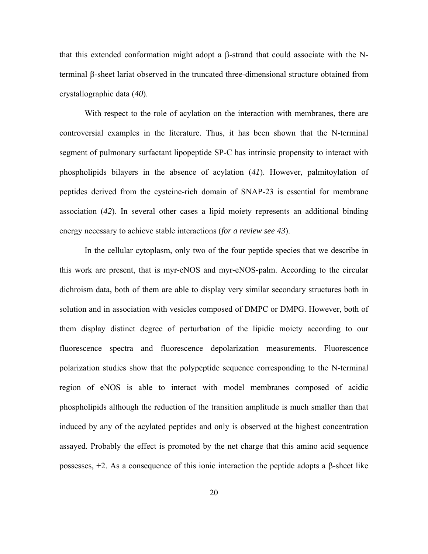that this extended conformation might adopt a β-strand that could associate with the Nterminal β-sheet lariat observed in the truncated three-dimensional structure obtained from crystallographic data (*40*).

 With respect to the role of acylation on the interaction with membranes, there are controversial examples in the literature. Thus, it has been shown that the N-terminal segment of pulmonary surfactant lipopeptide SP-C has intrinsic propensity to interact with phospholipids bilayers in the absence of acylation (*41*). However, palmitoylation of peptides derived from the cysteine-rich domain of SNAP-23 is essential for membrane association (*42*). In several other cases a lipid moiety represents an additional binding energy necessary to achieve stable interactions (*for a review see 43*).

 In the cellular cytoplasm, only two of the four peptide species that we describe in this work are present, that is myr-eNOS and myr-eNOS-palm. According to the circular dichroism data, both of them are able to display very similar secondary structures both in solution and in association with vesicles composed of DMPC or DMPG. However, both of them display distinct degree of perturbation of the lipidic moiety according to our fluorescence spectra and fluorescence depolarization measurements. Fluorescence polarization studies show that the polypeptide sequence corresponding to the N-terminal region of eNOS is able to interact with model membranes composed of acidic phospholipids although the reduction of the transition amplitude is much smaller than that induced by any of the acylated peptides and only is observed at the highest concentration assayed. Probably the effect is promoted by the net charge that this amino acid sequence possesses, +2. As a consequence of this ionic interaction the peptide adopts a β-sheet like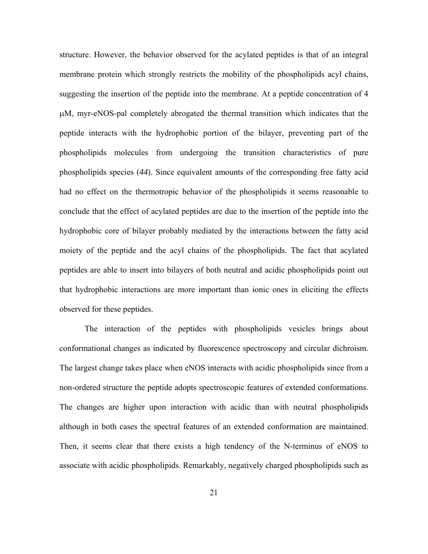structure. However, the behavior observed for the acylated peptides is that of an integral membrane protein which strongly restricts the mobility of the phospholipids acyl chains, suggesting the insertion of the peptide into the membrane. At a peptide concentration of 4 µM, myr-eNOS-pal completely abrogated the thermal transition which indicates that the peptide interacts with the hydrophobic portion of the bilayer, preventing part of the phospholipids molecules from undergoing the transition characteristics of pure phospholipids species (*44*). Since equivalent amounts of the corresponding free fatty acid had no effect on the thermotropic behavior of the phospholipids it seems reasonable to conclude that the effect of acylated peptides are due to the insertion of the peptide into the hydrophobic core of bilayer probably mediated by the interactions between the fatty acid moiety of the peptide and the acyl chains of the phospholipids. The fact that acylated peptides are able to insert into bilayers of both neutral and acidic phospholipids point out that hydrophobic interactions are more important than ionic ones in eliciting the effects observed for these peptides.

 The interaction of the peptides with phospholipids vesicles brings about conformational changes as indicated by fluorescence spectroscopy and circular dichroism. The largest change takes place when eNOS interacts with acidic phospholipids since from a non-ordered structure the peptide adopts spectroscopic features of extended conformations. The changes are higher upon interaction with acidic than with neutral phospholipids although in both cases the spectral features of an extended conformation are maintained. Then, it seems clear that there exists a high tendency of the N-terminus of eNOS to associate with acidic phospholipids. Remarkably, negatively charged phospholipids such as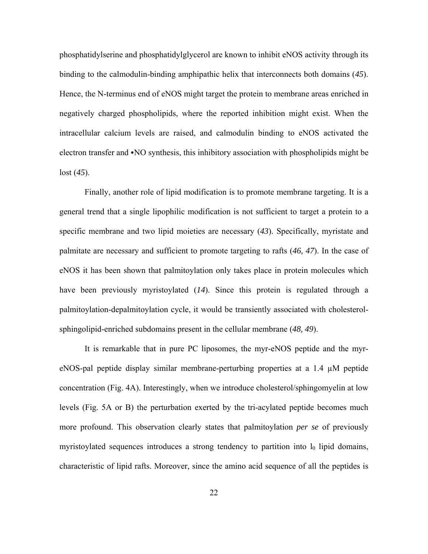phosphatidylserine and phosphatidylglycerol are known to inhibit eNOS activity through its binding to the calmodulin-binding amphipathic helix that interconnects both domains (*45*). Hence, the N-terminus end of eNOS might target the protein to membrane areas enriched in negatively charged phospholipids, where the reported inhibition might exist. When the intracellular calcium levels are raised, and calmodulin binding to eNOS activated the electron transfer and  $\cdot$ NO synthesis, this inhibitory association with phospholipids might be lost (*45*).

 Finally, another role of lipid modification is to promote membrane targeting. It is a general trend that a single lipophilic modification is not sufficient to target a protein to a specific membrane and two lipid moieties are necessary (*43*). Specifically, myristate and palmitate are necessary and sufficient to promote targeting to rafts (*46, 47*). In the case of eNOS it has been shown that palmitoylation only takes place in protein molecules which have been previously myristoylated (*14*). Since this protein is regulated through a palmitoylation-depalmitoylation cycle, it would be transiently associated with cholesterolsphingolipid-enriched subdomains present in the cellular membrane (*48, 49*).

 It is remarkable that in pure PC liposomes, the myr-eNOS peptide and the myreNOS-pal peptide display similar membrane-perturbing properties at a 1.4 µM peptide concentration (Fig. 4A). Interestingly, when we introduce cholesterol/sphingomyelin at low levels (Fig. 5A or B) the perturbation exerted by the tri-acylated peptide becomes much more profound. This observation clearly states that palmitoylation *per se* of previously myristoylated sequences introduces a strong tendency to partition into  $l_0$  lipid domains, characteristic of lipid rafts. Moreover, since the amino acid sequence of all the peptides is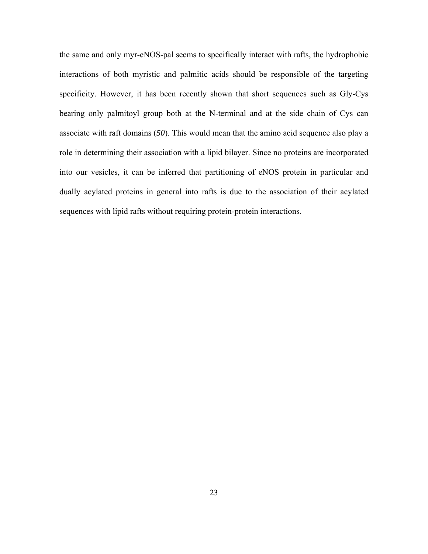the same and only myr-eNOS-pal seems to specifically interact with rafts, the hydrophobic interactions of both myristic and palmitic acids should be responsible of the targeting specificity. However, it has been recently shown that short sequences such as Gly-Cys bearing only palmitoyl group both at the N-terminal and at the side chain of Cys can associate with raft domains (*50*). This would mean that the amino acid sequence also play a role in determining their association with a lipid bilayer. Since no proteins are incorporated into our vesicles, it can be inferred that partitioning of eNOS protein in particular and dually acylated proteins in general into rafts is due to the association of their acylated sequences with lipid rafts without requiring protein-protein interactions.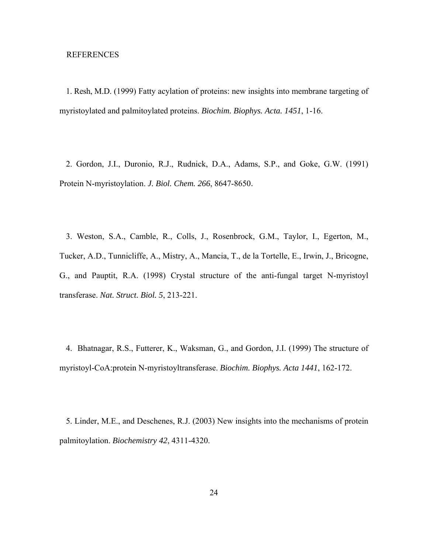## REFERENCES

1. Resh, M.D. (1999) Fatty acylation of proteins: new insights into membrane targeting of myristoylated and palmitoylated proteins. *Biochim. Biophys. Acta. 1451*, 1-16.

2. Gordon, J.I., Duronio, R.J., Rudnick, D.A., Adams, S.P., and Goke, G.W. (1991) Protein N-myristoylation. *J. Biol. Chem. 266*, 8647-8650.

3. Weston, S.A., Camble, R., Colls, J., Rosenbrock, G.M., Taylor, I., Egerton, M., Tucker, A.D., Tunnicliffe, A., Mistry, A., Mancia, T., de la Tortelle, E., Irwin, J., Bricogne, G., and Pauptit, R.A. (1998) Crystal structure of the anti-fungal target N-myristoyl transferase. *Nat. Struct. Biol. 5*, 213-221.

4. Bhatnagar, R.S., Futterer, K., Waksman, G., and Gordon, J.I. (1999) The structure of myristoyl-CoA:protein N-myristoyltransferase. *Biochim. Biophys. Acta 1441*, 162-172.

5. Linder, M.E., and Deschenes, R.J. (2003) New insights into the mechanisms of protein palmitoylation. *Biochemistry 42*, 4311-4320.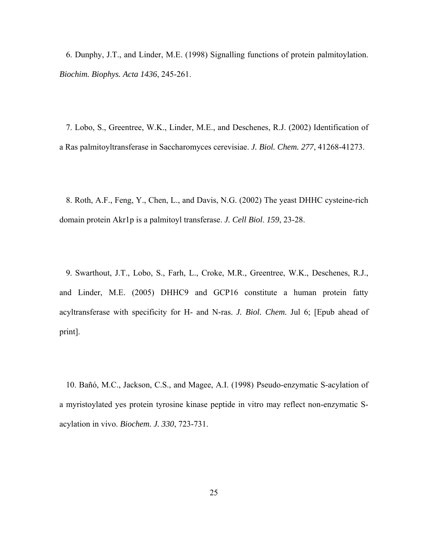6. Dunphy, J.T., and Linder, M.E. (1998) Signalling functions of protein palmitoylation. *Biochim. Biophys. Acta 1436*, 245-261.

7. Lobo, S., Greentree, W.K., Linder, M.E., and Deschenes, R.J. (2002) Identification of a Ras palmitoyltransferase in Saccharomyces cerevisiae. *J. Biol. Chem. 277*, 41268-41273.

8. Roth, A.F., Feng, Y., Chen, L., and Davis, N.G. (2002) The yeast DHHC cysteine-rich domain protein Akr1p is a palmitoyl transferase. *J. Cell Biol*. *159*, 23-28.

9. [Swarthout, J.T., Lobo, S., Farh, L., Croke, M.R., Greentree, W.K., Deschenes, R.J.,](http://www.ncbi.nlm.nih.gov/entrez/query.fcgi?cmd=Retrieve&db=pubmed&dopt=Abstract&list_uids=16000296&query_hl=8)  [and Linder, M.E.](http://www.ncbi.nlm.nih.gov/entrez/query.fcgi?cmd=Retrieve&db=pubmed&dopt=Abstract&list_uids=16000296&query_hl=8) (2005) DHHC9 and GCP16 constitute a human protein fatty acyltransferase with specificity for H- and N-ras. *J. Biol. Chem.* Jul 6; [Epub ahead of print].

10. Bañó, M.C., Jackson, C.S., and Magee, A.I. (1998) Pseudo-enzymatic S-acylation of a myristoylated yes protein tyrosine kinase peptide in vitro may reflect non-enzymatic Sacylation in vivo. *Biochem. J. 330*, 723-731.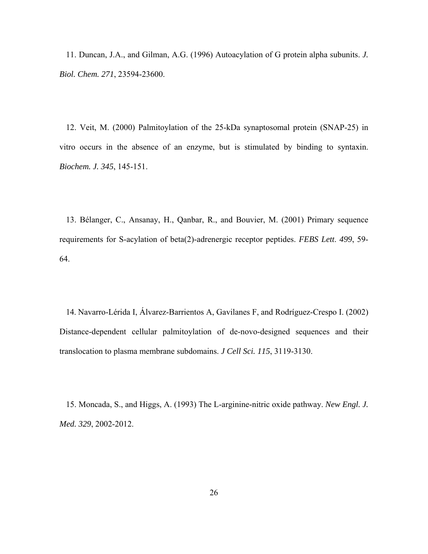11. Duncan, J.A., and Gilman, A.G. (1996) Autoacylation of G protein alpha subunits. *J. Biol. Chem. 271*, 23594-23600.

12. Veit, M. (2000) Palmitoylation of the 25-kDa synaptosomal protein (SNAP-25) in vitro occurs in the absence of an enzyme, but is stimulated by binding to syntaxin. *Biochem. J. 345*, 145-151.

13. Bélanger, C., Ansanay, H., Qanbar, R., and Bouvier, M. (2001) Primary sequence requirements for S-acylation of beta(2)-adrenergic receptor peptides. *FEBS Lett*. *499*, 59- 64.

14. [Navarro-Lérida I, Álvarez-Barrientos A, Gavilanes F, and Rodríguez-Crespo I.](http://www.ncbi.nlm.nih.gov/entrez/query.fcgi?cmd=Retrieve&db=pubmed&dopt=Abstract&list_uids=12118067&query_hl=11) (2002) Distance-dependent cellular palmitoylation of de-novo-designed sequences and their translocation to plasma membrane subdomains. *J Cell Sci. 115*, 3119-3130.

15. Moncada, S., and Higgs, A. (1993) The L-arginine-nitric oxide pathway. *New Engl. J. Med. 329*, 2002-2012.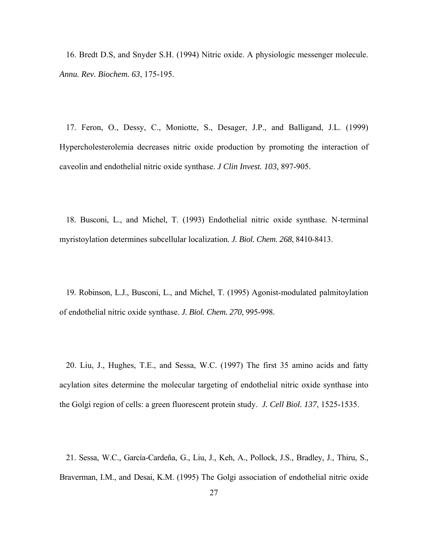16. Bredt D.S, and Snyder S.H. (1994) Nitric oxide. A physiologic messenger molecule. *Annu. Rev. Biochem. 63*, 175-195.

17. Feron, O., Dessy, C., Moniotte, S., Desager, J.P., and Balligand, J.L. (1999) Hypercholesterolemia decreases nitric oxide production by promoting the interaction of caveolin and endothelial nitric oxide synthase. *J Clin Invest. 103,* 897-905.

18. Busconi, L., and Michel, T. (1993) Endothelial nitric oxide synthase. N-terminal myristoylation determines subcellular localization*. J. Biol. Chem. 268*, 8410-8413.

19. Robinson, L.J., Busconi, L., and Michel, T. (1995) Agonist-modulated palmitoylation of endothelial nitric oxide synthase. *J. Biol. Chem. 270*, 995-998.

20. Liu, J., Hughes, T.E., and Sessa, W.C. (1997) The first 35 amino acids and fatty acylation sites determine the molecular targeting of endothelial nitric oxide synthase into the Golgi region of cells: a green fluorescent protein study. *J. Cell Biol. 137*, 1525-1535.

21. Sessa, W.C., García-Cardeña, G., Liu, J., Keh, A., Pollock, J.S., Bradley, J., Thiru, S., Braverman, I.M., and Desai, K.M. (1995) The Golgi association of endothelial nitric oxide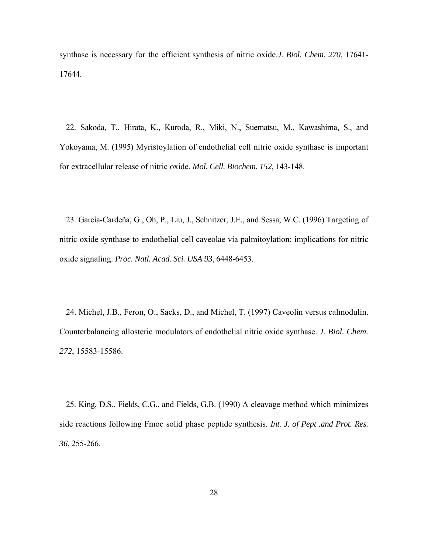synthase is necessary for the efficient synthesis of nitric oxide.*J. Biol. Chem. 270*, 17641- 17644.

22. Sakoda, T., Hirata, K., Kuroda, R., Miki, N., Suematsu, M., Kawashima, S., and Yokoyama, M. (1995) Myristoylation of endothelial cell nitric oxide synthase is important for extracellular release of nitric oxide. *Mol. Cell. Biochem. 152*, 143-148.

23. García-Cardeña, G., Oh, P., Liu, J., Schnitzer, J.E., and Sessa, W.C. (1996) Targeting of nitric oxide synthase to endothelial cell caveolae via palmitoylation: implications for nitric oxide signaling. *Proc. Natl. Acad. Sci. USA 93*, 6448-6453.

24. Michel, J.B., Feron, O., Sacks, D., and Michel, T. (1997) Caveolin versus calmodulin. Counterbalancing allosteric modulators of endothelial nitric oxide synthase. *J. Biol. Chem. 272*, 15583-15586.

25. King, D.S., Fields, C.G., and Fields, G.B. (1990) A cleavage method which minimizes side reactions following Fmoc solid phase peptide synthesis. *Int. J. of Pept .and Prot. Res. 36*, 255-266.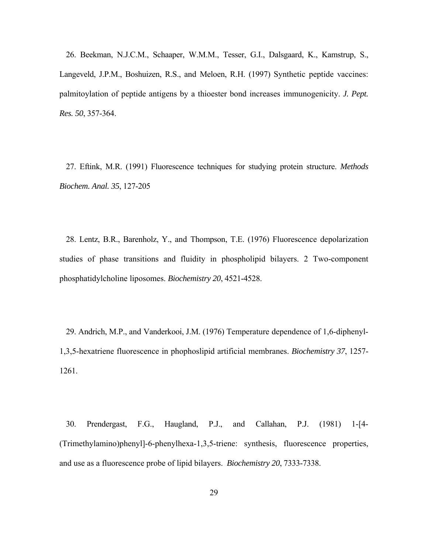26. Beekman, N.J.C.M., Schaaper, W.M.M., Tesser, G.I., Dalsgaard, K., Kamstrup, S., Langeveld, J.P.M., Boshuizen, R.S., and Meloen, R.H. (1997) Synthetic peptide vaccines: palmitoylation of peptide antigens by a thioester bond increases immunogenicity. *J. Pept. Res. 50*, 357-364.

27. Eftink, M.R. (1991) Fluorescence techniques for studying protein structure. *Methods Biochem. Anal. 35*, 127-205

28. Lentz, B.R., Barenholz, Y., and Thompson, T.E. (1976) Fluorescence depolarization studies of phase transitions and fluidity in phospholipid bilayers. 2 Two-component phosphatidylcholine liposomes. *Biochemistry 20*, 4521-4528.

29. Andrich, M.P., and Vanderkooi, J.M. (1976) Temperature dependence of 1,6-diphenyl-1,3,5-hexatriene fluorescence in phophoslipid artificial membranes. *Biochemistry 37*, 1257- 1261.

30. Prendergast, F.G., Haugland, P.J., and Callahan, P.J. (1981) 1-[4- (Trimethylamino)phenyl]-6-phenylhexa-1,3,5-triene: synthesis, fluorescence properties, and use as a fluorescence probe of lipid bilayers. *Biochemistry 20*, 7333-7338.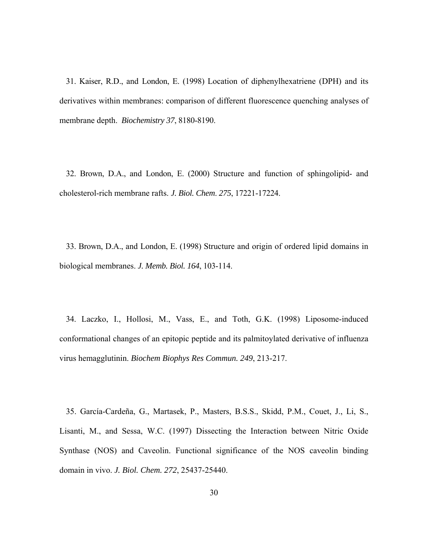31. Kaiser, R.D., and London, E. (1998) Location of diphenylhexatriene (DPH) and its derivatives within membranes: comparison of different fluorescence quenching analyses of membrane depth. *Biochemistry 37*, 8180-8190.

32. Brown, D.A., and London, E. (2000) Structure and function of sphingolipid- and cholesterol-rich membrane rafts. *J. Biol. Chem*. *275*, 17221-17224.

33. Brown, D.A., and London, E. (1998) Structure and origin of ordered lipid domains in biological membranes. *J. Memb. Biol. 164*, 103-114.

34. [Laczko, I., Hollosi, M., Vass, E., and Toth, G.K.](http://www.ncbi.nlm.nih.gov/entrez/query.fcgi?cmd=Retrieve&db=pubmed&dopt=Abstract&list_uids=9705859&query_hl=13) (1998) Liposome-induced conformational changes of an epitopic peptide and its palmitoylated derivative of influenza virus hemagglutinin. *Biochem Biophys Res Commun. 249*, 213-217.

35. García-Cardeña, G., Martasek, P., Masters, B.S.S., Skidd, P.M., Couet, J., Li, S., Lisanti, M., and Sessa, W.C. (1997) Dissecting the Interaction between Nitric Oxide Synthase (NOS) and Caveolin. Functional significance of the NOS caveolin binding domain in vivo. *J. Biol. Chem. 272*, 25437-25440.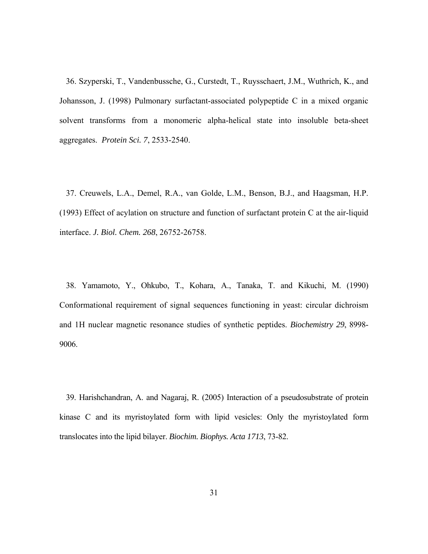36. [Szyperski, T](http://www.ncbi.nlm.nih.gov/entrez/query.fcgi?db=pubmed&cmd=Search&term=%22Szyperski+T%22%5BAuthor%5D)., [Vandenbussche, G.](http://www.ncbi.nlm.nih.gov/entrez/query.fcgi?db=pubmed&cmd=Search&term=%22Vandenbussche+G%22%5BAuthor%5D), [Curstedt, T.](http://www.ncbi.nlm.nih.gov/entrez/query.fcgi?db=pubmed&cmd=Search&term=%22Curstedt+T%22%5BAuthor%5D), [Ruysschaert, J.M.](http://www.ncbi.nlm.nih.gov/entrez/query.fcgi?db=pubmed&cmd=Search&term=%22Ruysschaert+JM%22%5BAuthor%5D), [Wuthrich, K](http://www.ncbi.nlm.nih.gov/entrez/query.fcgi?db=pubmed&cmd=Search&term=%22Wuthrich+K%22%5BAuthor%5D)., and [Johansson, J](http://www.ncbi.nlm.nih.gov/entrez/query.fcgi?db=pubmed&cmd=Search&term=%22Johansson+J%22%5BAuthor%5D). (1998) Pulmonary surfactant-associated polypeptide C in a mixed organic solvent transforms from a monomeric alpha-helical state into insoluble beta-sheet aggregates. *Protein Sci. 7*, 2533-2540.

37. [Creuwels, L.A.](http://www.ncbi.nlm.nih.gov/entrez/query.fcgi?db=pubmed&cmd=Search&term=%22Creuwels+LA%22%5BAuthor%5D), [Demel, R.A.](http://www.ncbi.nlm.nih.gov/entrez/query.fcgi?db=pubmed&cmd=Search&term=%22Demel+RA%22%5BAuthor%5D), [van Golde, L.M.](http://www.ncbi.nlm.nih.gov/entrez/query.fcgi?db=pubmed&cmd=Search&term=%22van+Golde+LM%22%5BAuthor%5D), [Benson, B.J](http://www.ncbi.nlm.nih.gov/entrez/query.fcgi?db=pubmed&cmd=Search&term=%22Benson+BJ%22%5BAuthor%5D)., and [Haagsman, H.P](http://www.ncbi.nlm.nih.gov/entrez/query.fcgi?db=pubmed&cmd=Search&term=%22Haagsman+HP%22%5BAuthor%5D). (1993) Effect of acylation on structure and function of surfactant protein C at the air-liquid interface. *J. Biol. Chem. 268*, 26752-26758.

38. Yamamoto, Y., Ohkubo, T., Kohara, A., Tanaka, T. and Kikuchi, M. (1990) Conformational requirement of signal sequences functioning in yeast: circular dichroism and 1H nuclear magnetic resonance studies of synthetic peptides. *Biochemistry 29*, 8998- 9006.

39. Harishchandran, A. and Nagaraj, R. (2005) Interaction of a pseudosubstrate of protein kinase C and its myristoylated form with lipid vesicles: Only the myristoylated form translocates into the lipid bilayer. *Biochim. Biophys. Acta 1713*, 73-82.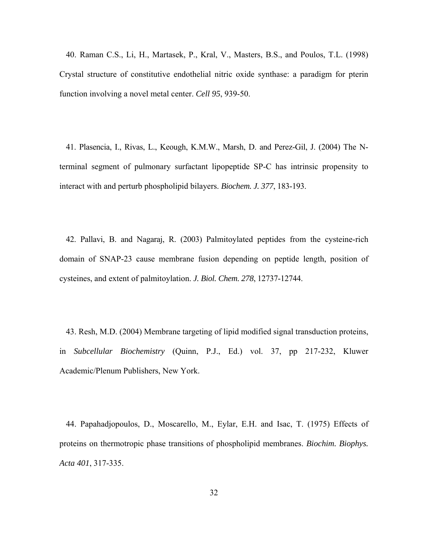40. Raman C.S., Li, H., Martasek, P., Kral, V., Masters, B.S., and Poulos, T.L. (1998) Crystal structure of constitutive endothelial nitric oxide synthase: a paradigm for pterin function involving a novel metal center. *Cell 95*, 939-50.

41. Plasencia, I., Rivas, L., Keough, K.M.W., Marsh, D. and Perez-Gil, J. (2004) The Nterminal segment of pulmonary surfactant lipopeptide SP-C has intrinsic propensity to interact with and perturb phospholipid bilayers. *Biochem. J. 377*, 183-193.

42. Pallavi, B. and Nagaraj, R. (2003) Palmitoylated peptides from the cysteine-rich domain of SNAP-23 cause membrane fusion depending on peptide length, position of cysteines, and extent of palmitoylation. *J. Biol. Chem. 278*, 12737-12744.

43. Resh, M.D. (2004) Membrane targeting of lipid modified signal transduction proteins, in *Subcellular Biochemistry* (Quinn, P.J., Ed.) vol. 37, pp 217-232, Kluwer Academic/Plenum Publishers, New York.

44. Papahadjopoulos, D., Moscarello, M., Eylar, E.H. and Isac, T. (1975) Effects of proteins on thermotropic phase transitions of phospholipid membranes. *Biochim. Biophys. Acta 401*, 317-335.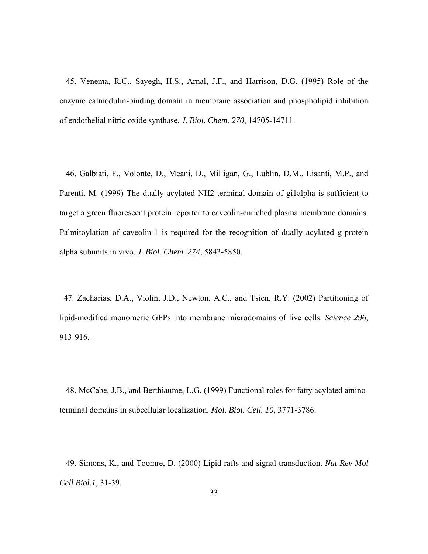45. Venema, R.C., Sayegh, H.S., Arnal, J.F., and Harrison, D.G. (1995) Role of the enzyme calmodulin-binding domain in membrane association and phospholipid inhibition of endothelial nitric oxide synthase. *J. Biol. Chem. 270*, 14705-14711.

46. [Galbiati, F.](http://www.ncbi.nlm.nih.gov/entrez/query.fcgi?db=pubmed&cmd=Search&term=%22Galbiati+F%22%5BAuthor%5D), [Volonte, D.](http://www.ncbi.nlm.nih.gov/entrez/query.fcgi?db=pubmed&cmd=Search&term=%22Volonte+D%22%5BAuthor%5D), [Meani, D.](http://www.ncbi.nlm.nih.gov/entrez/query.fcgi?db=pubmed&cmd=Search&term=%22Meani+D%22%5BAuthor%5D), [Milligan, G](http://www.ncbi.nlm.nih.gov/entrez/query.fcgi?db=pubmed&cmd=Search&term=%22Milligan+G%22%5BAuthor%5D)., [Lublin, D.M](http://www.ncbi.nlm.nih.gov/entrez/query.fcgi?db=pubmed&cmd=Search&term=%22Lublin+DM%22%5BAuthor%5D)., [Lisanti, M.P.](http://www.ncbi.nlm.nih.gov/entrez/query.fcgi?db=pubmed&cmd=Search&term=%22Lisanti+MP%22%5BAuthor%5D), and [Parenti, M](http://www.ncbi.nlm.nih.gov/entrez/query.fcgi?db=pubmed&cmd=Search&term=%22Parenti+M%22%5BAuthor%5D). (1999) The dually acylated NH2-terminal domain of gi1alpha is sufficient to target a green fluorescent protein reporter to caveolin-enriched plasma membrane domains. Palmitoylation of caveolin-1 is required for the recognition of dually acylated g-protein alpha subunits in vivo. *J. Biol. Chem. 274*, 5843-5850.

 47. [Zacharias, D.A](http://www.ncbi.nlm.nih.gov/entrez/query.fcgi?db=pubmed&cmd=Search&term=%22Zacharias+DA%22%5BAuthor%5D)., [Violin, J.D](http://www.ncbi.nlm.nih.gov/entrez/query.fcgi?db=pubmed&cmd=Search&term=%22Violin+JD%22%5BAuthor%5D)., [Newton, A.C.](http://www.ncbi.nlm.nih.gov/entrez/query.fcgi?db=pubmed&cmd=Search&term=%22Newton+AC%22%5BAuthor%5D), and [Tsien, R.Y.](http://www.ncbi.nlm.nih.gov/entrez/query.fcgi?db=pubmed&cmd=Search&term=%22Tsien+RY%22%5BAuthor%5D) (2002) Partitioning of lipid-modified monomeric GFPs into membrane microdomains of live cells. *Science 296*, 913-916.

48. [McCabe, J.B., and Berthiaume, L.G.](http://www.ncbi.nlm.nih.gov/entrez/query.fcgi?cmd=Retrieve&db=pubmed&dopt=Abstract&list_uids=10564270&query_hl=6) (1999) Functional roles for fatty acylated aminoterminal domains in subcellular localization. *Mol. Biol. Cell. 10*, 3771-3786.

49. [Simons, K., and Toomre, D.](http://www.ncbi.nlm.nih.gov/entrez/query.fcgi?cmd=Retrieve&db=pubmed&dopt=Abstract&list_uids=11413487&query_hl=8) (2000) Lipid rafts and signal transduction. *Nat Rev Mol Cell Biol.1*, 31-39.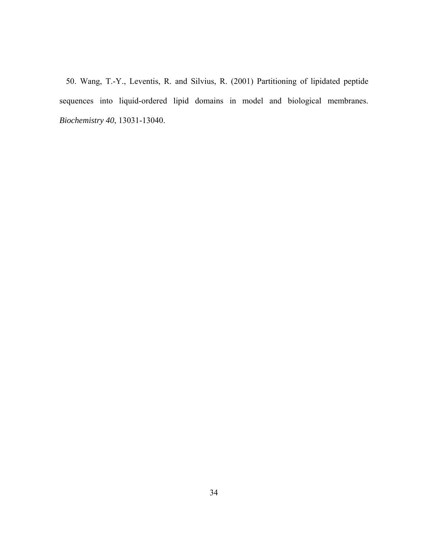50. Wang, T.-Y., Leventis, R. and Silvius, R. (2001) Partitioning of lipidated peptide sequences into liquid-ordered lipid domains in model and biological membranes. *Biochemistry 40*, 13031-13040.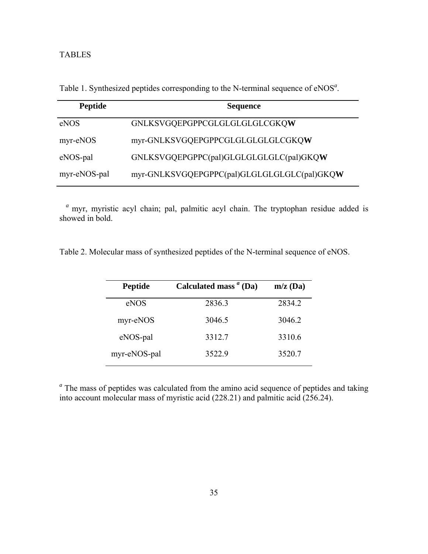# TABLES

| <b>Peptide</b> | <b>Sequence</b>                             |
|----------------|---------------------------------------------|
| eNOS           | GNLKSVGQEPGPPCGLGLGLGLGLCGKQW               |
| myr-eNOS       | myr-GNLKSVGQEPGPPCGLGLGLGLGLCGKQW           |
| eNOS-pal       | GNLKSVGQEPGPPC(pal)GLGLGLGLGLC(pal)GKQW     |
| myr-eNOS-pal   | myr-GNLKSVGQEPGPPC(pal)GLGLGLGLGLC(pal)GKQW |

Table 1. Synthesized peptides corresponding to the N-terminal sequence of eNOS*<sup>a</sup>* .

*<sup>a</sup>* myr, myristic acyl chain; pal, palmitic acyl chain. The tryptophan residue added is showed in bold.

Table 2. Molecular mass of synthesized peptides of the N-terminal sequence of eNOS.

| <b>Peptide</b> | Calculated mass $\alpha$ (Da) | $m/z$ (Da) |
|----------------|-------------------------------|------------|
| eNOS           | 2836.3                        | 2834.2     |
| myr-eNOS       | 3046.5                        | 3046.2     |
| eNOS-pal       | 3312.7                        | 3310.6     |
| myr-eNOS-pal   | 3522.9                        | 3520.7     |

<sup>a</sup> The mass of peptides was calculated from the amino acid sequence of peptides and taking into account molecular mass of myristic acid (228.21) and palmitic acid (256.24).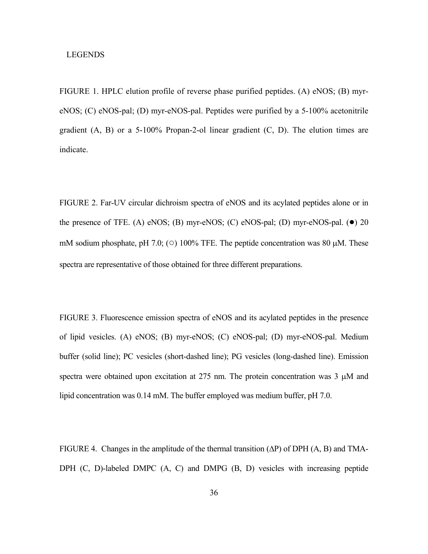## LEGENDS

FIGURE 1. HPLC elution profile of reverse phase purified peptides. (A) eNOS; (B) myreNOS; (C) eNOS-pal; (D) myr-eNOS-pal. Peptides were purified by a 5-100% acetonitrile gradient  $(A, B)$  or a 5-100% Propan-2-ol linear gradient  $(C, D)$ . The elution times are indicate.

FIGURE 2. Far-UV circular dichroism spectra of eNOS and its acylated peptides alone or in the presence of TFE. (A) eNOS; (B) myr-eNOS; (C) eNOS-pal; (D) myr-eNOS-pal.  $\bullet$ ) 20 mM sodium phosphate, pH 7.0; ( $\circ$ ) 100% TFE. The peptide concentration was 80  $\mu$ M. These spectra are representative of those obtained for three different preparations.

FIGURE 3. Fluorescence emission spectra of eNOS and its acylated peptides in the presence of lipid vesicles. (A) eNOS; (B) myr-eNOS; (C) eNOS-pal; (D) myr-eNOS-pal. Medium buffer (solid line); PC vesicles (short-dashed line); PG vesicles (long-dashed line). Emission spectra were obtained upon excitation at 275 nm. The protein concentration was 3  $\mu$ M and lipid concentration was 0.14 mM. The buffer employed was medium buffer, pH 7.0.

FIGURE 4. Changes in the amplitude of the thermal transition  $(\Delta P)$  of DPH  $(A, B)$  and TMA-DPH (C, D)-labeled DMPC (A, C) and DMPG (B, D) vesicles with increasing peptide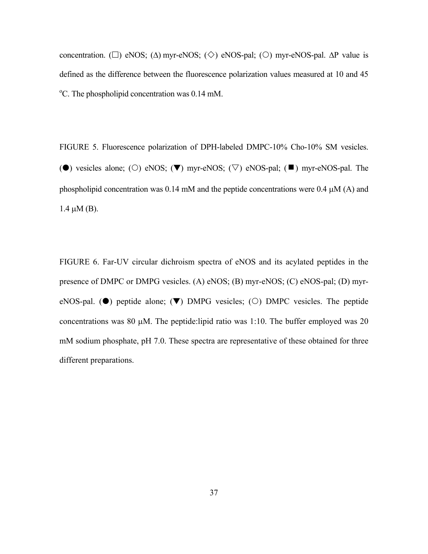concentration. ( $\square$ ) eNOS; ( $\triangle$ ) myr-eNOS; ( $\diamond$ ) eNOS-pal; ( $\bigcirc$ ) myr-eNOS-pal. ∆P value is defined as the difference between the fluorescence polarization values measured at 10 and 45 <sup>o</sup>C. The phospholipid concentration was 0.14 mM.

FIGURE 5. Fluorescence polarization of DPH-labeled DMPC-10% Cho-10% SM vesicles. ( $\bullet$ ) vesicles alone; ( $\circ$ ) eNOS; ( $\nabla$ ) myr-eNOS; ( $\triangledown$ ) eNOS-pal; ( $\blacksquare$ ) myr-eNOS-pal. The phospholipid concentration was 0.14 mM and the peptide concentrations were 0.4 µM (A) and  $1.4 \mu M$  (B).

FIGURE 6. Far-UV circular dichroism spectra of eNOS and its acylated peptides in the presence of DMPC or DMPG vesicles. (A) eNOS; (B) myr-eNOS; (C) eNOS-pal; (D) myreNOS-pal. ( $\bullet$ ) peptide alone; ( $\nabla$ ) DMPG vesicles; ( $\circ$ ) DMPC vesicles. The peptide concentrations was 80  $\mu$ M. The peptide:lipid ratio was 1:10. The buffer employed was 20 mM sodium phosphate, pH 7.0. These spectra are representative of these obtained for three different preparations.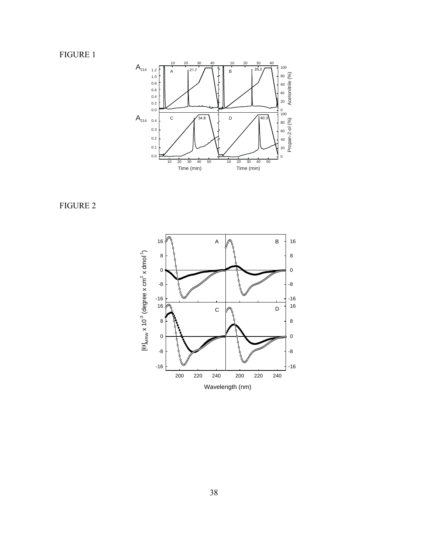FIGURE 1



FIGURE 2

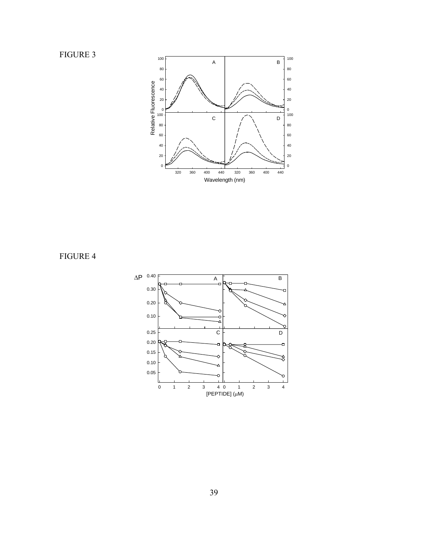FIGURE 3



FIGURE 4

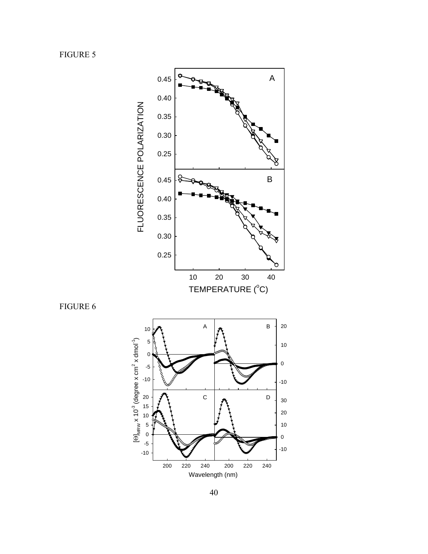FIGURE 5

FIGURE 6